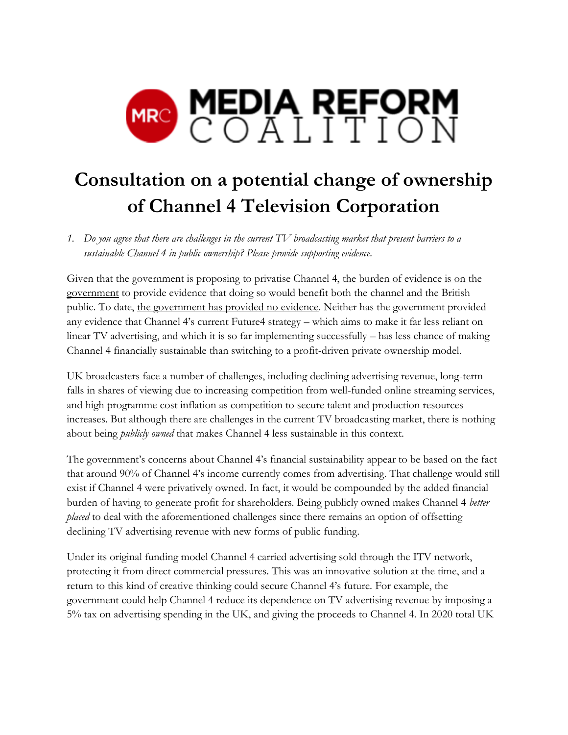

# **Consultation on a potential change of ownership of Channel 4 Television Corporation**

*1. Do you agree that there are challenges in the current TV broadcasting market that present barriers to a sustainable Channel 4 in public ownership? Please provide supporting evidence.*

Given that the government is proposing to privatise Channel 4, the burden of evidence is on the government to provide evidence that doing so would benefit both the channel and the British public. To date, the government has provided no evidence. Neither has the government provided any evidence that Channel 4's current Future4 strategy – which aims to make it far less reliant on linear TV advertising, and which it is so far implementing successfully – has less chance of making Channel 4 financially sustainable than switching to a profit-driven private ownership model.

UK broadcasters face a number of challenges, including declining advertising revenue, long-term falls in shares of viewing due to increasing competition from well-funded online streaming services, and high programme cost inflation as competition to secure talent and production resources increases. But although there are challenges in the current TV broadcasting market, there is nothing about being *publicly owned* that makes Channel 4 less sustainable in this context.

The government's concerns about Channel 4's financial sustainability appear to be based on the fact that around 90% of Channel 4's income currently comes from advertising. That challenge would still exist if Channel 4 were privatively owned. In fact, it would be compounded by the added financial burden of having to generate profit for shareholders. Being publicly owned makes Channel 4 *better placed* to deal with the aforementioned challenges since there remains an option of offsetting declining TV advertising revenue with new forms of public funding.

Under its original funding model Channel 4 carried advertising sold through the ITV network, protecting it from direct commercial pressures. This was an innovative solution at the time, and a return to this kind of creative thinking could secure Channel 4's future. For example, the government could help Channel 4 reduce its dependence on TV advertising revenue by imposing a 5% tax on advertising spending in the UK, and giving the proceeds to Channel 4. In 2020 total UK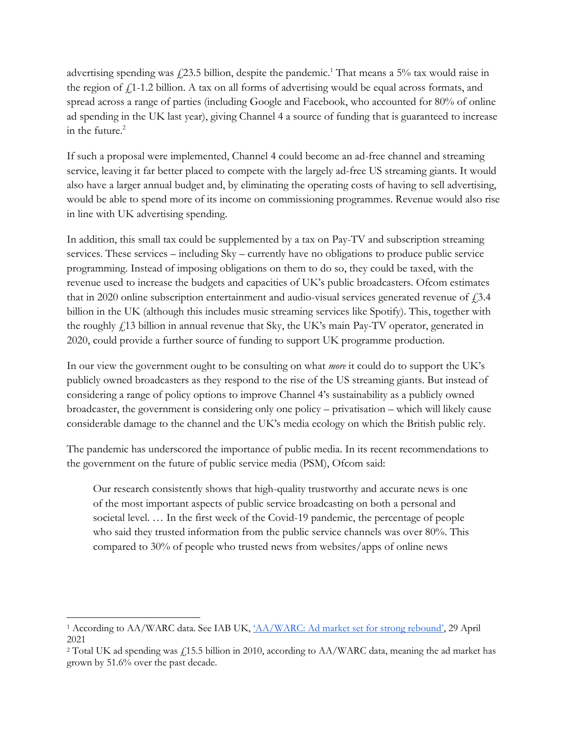advertising spending was  $f(23.5)$  billion, despite the pandemic.<sup>1</sup> That means a 5% tax would raise in the region of  $f<sub>1</sub>1$ -1.2 billion. A tax on all forms of advertising would be equal across formats, and spread across a range of parties (including Google and Facebook, who accounted for 80% of online ad spending in the UK last year), giving Channel 4 a source of funding that is guaranteed to increase in the future.<sup>2</sup>

If such a proposal were implemented, Channel 4 could become an ad-free channel and streaming service, leaving it far better placed to compete with the largely ad-free US streaming giants. It would also have a larger annual budget and, by eliminating the operating costs of having to sell advertising, would be able to spend more of its income on commissioning programmes. Revenue would also rise in line with UK advertising spending.

In addition, this small tax could be supplemented by a tax on Pay-TV and subscription streaming services. These services – including Sky – currently have no obligations to produce public service programming. Instead of imposing obligations on them to do so, they could be taxed, with the revenue used to increase the budgets and capacities of UK's public broadcasters. Ofcom estimates that in 2020 online subscription entertainment and audio-visual services generated revenue of  $f$ , 3.4 billion in the UK (although this includes music streaming services like Spotify). This, together with the roughly £13 billion in annual revenue that Sky, the UK's main Pay-TV operator, generated in 2020, could provide a further source of funding to support UK programme production.

In our view the government ought to be consulting on what *more* it could do to support the UK's publicly owned broadcasters as they respond to the rise of the US streaming giants. But instead of considering a range of policy options to improve Channel 4's sustainability as a publicly owned broadcaster, the government is considering only one policy – privatisation – which will likely cause considerable damage to the channel and the UK's media ecology on which the British public rely.

The pandemic has underscored the importance of public media. In its recent recommendations to the government on the future of public service media (PSM), Ofcom said:

Our research consistently shows that high-quality trustworthy and accurate news is one of the most important aspects of public service broadcasting on both a personal and societal level. … In the first week of the Covid-19 pandemic, the percentage of people who said they trusted information from the public service channels was over 80%. This compared to 30% of people who trusted news from websites/apps of online news

<sup>&</sup>lt;sup>1</sup> According to AA/WARC data. See IAB UK, '[AA/WARC: Ad market set for strong rebound](https://www.iabuk.com/news-article/aawarc-ad-market-set-strong-rebound)', 29 April 2021

<sup>&</sup>lt;sup>2</sup> Total UK ad spending was £15.5 billion in 2010, according to AA/WARC data, meaning the ad market has grown by 51.6% over the past decade.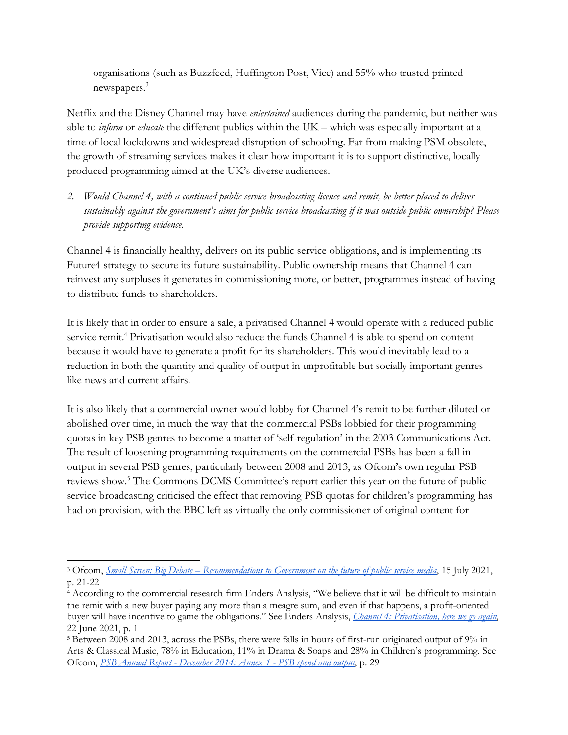organisations (such as Buzzfeed, Huffington Post, Vice) and 55% who trusted printed newspapers.<sup>3</sup>

Netflix and the Disney Channel may have *entertained* audiences during the pandemic, but neither was able to *inform* or *educate* the different publics within the UK – which was especially important at a time of local lockdowns and widespread disruption of schooling. Far from making PSM obsolete, the growth of streaming services makes it clear how important it is to support distinctive, locally produced programming aimed at the UK's diverse audiences.

*2. Would Channel 4, with a continued public service broadcasting licence and remit, be better placed to deliver sustainably against the government's aims for public service broadcasting if it was outside public ownership? Please provide supporting evidence.*

Channel 4 is financially healthy, delivers on its public service obligations, and is implementing its Future4 strategy to secure its future sustainability. Public ownership means that Channel 4 can reinvest any surpluses it generates in commissioning more, or better, programmes instead of having to distribute funds to shareholders.

It is likely that in order to ensure a sale, a privatised Channel 4 would operate with a reduced public service remit.<sup>4</sup> Privatisation would also reduce the funds Channel 4 is able to spend on content because it would have to generate a profit for its shareholders. This would inevitably lead to a reduction in both the quantity and quality of output in unprofitable but socially important genres like news and current affairs.

It is also likely that a commercial owner would lobby for Channel 4's remit to be further diluted or abolished over time, in much the way that the commercial PSBs lobbied for their programming quotas in key PSB genres to become a matter of 'self-regulation' in the 2003 Communications Act. The result of loosening programming requirements on the commercial PSBs has been a fall in output in several PSB genres, particularly between 2008 and 2013, as Ofcom's own regular PSB reviews show.<sup>5</sup> The Commons DCMS Committee's report earlier this year on the future of public service broadcasting criticised the effect that removing PSB quotas for children's programming has had on provision, with the BBC left as virtually the only commissioner of original content for

<sup>3</sup> Ofcom, *Small Screen: Big Debate – [Recommendations to Government on the future of public service media](https://www.smallscreenbigdebate.co.uk/__data/assets/pdf_file/0023/221954/statement-future-of-public-service-media.pdf)*, 15 July 2021, p. 21-22

<sup>&</sup>lt;sup>4</sup> According to the commercial research firm Enders Analysis, "We believe that it will be difficult to maintain the remit with a new buyer paying any more than a meagre sum, and even if that happens, a profit-oriented buyer will have incentive to game the obligations." See Enders Analysis, *[Channel 4: Privatisation, here we go again](https://www.endersanalysis.com/reports/channel-4-privatisation-here-we-go-again)*, 22 June 2021, p. 1

<sup>5</sup> Between 2008 and 2013, across the PSBs, there were falls in hours of first-run originated output of 9% in Arts & Classical Music, 78% in Education, 11% in Drama & Soaps and 28% in Children's programming. See Ofcom, *PSB Annual Report - [December 2014: Annex 1 -](https://www.ofcom.org.uk/__data/assets/pdf_file/0024/82383/annex_1_psb_spend_and_output_2014.pdf) PSB spend and output*, p. 29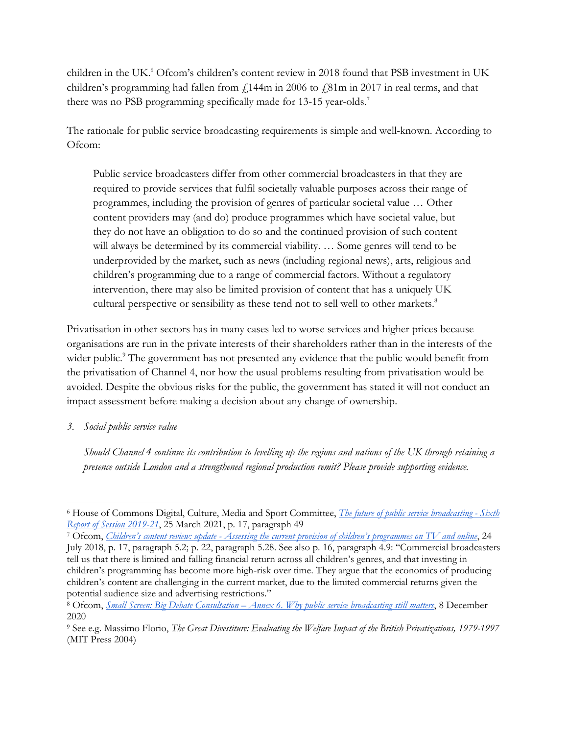children in the UK.<sup>6</sup> Ofcom's children's content review in 2018 found that PSB investment in UK children's programming had fallen from  $\ell$ 144m in 2006 to  $\ell$ 81m in 2017 in real terms, and that there was no PSB programming specifically made for 13-15 year-olds.<sup>7</sup>

The rationale for public service broadcasting requirements is simple and well-known. According to Ofcom:

Public service broadcasters differ from other commercial broadcasters in that they are required to provide services that fulfil societally valuable purposes across their range of programmes, including the provision of genres of particular societal value … Other content providers may (and do) produce programmes which have societal value, but they do not have an obligation to do so and the continued provision of such content will always be determined by its commercial viability. … Some genres will tend to be underprovided by the market, such as news (including regional news), arts, religious and children's programming due to a range of commercial factors. Without a regulatory intervention, there may also be limited provision of content that has a uniquely UK cultural perspective or sensibility as these tend not to sell well to other markets.<sup>8</sup>

Privatisation in other sectors has in many cases led to worse services and higher prices because organisations are run in the private interests of their shareholders rather than in the interests of the wider public.<sup>9</sup> The government has not presented any evidence that the public would benefit from the privatisation of Channel 4, nor how the usual problems resulting from privatisation would be avoided. Despite the obvious risks for the public, the government has stated it will not conduct an impact assessment before making a decision about any change of ownership.

*3. Social public service value*

*Should Channel 4 continue its contribution to levelling up the regions and nations of the UK through retaining a presence outside London and a strengthened regional production remit? Please provide supporting evidence.*

<sup>6</sup> House of Commons Digital, Culture, Media and Sport Committee, *[The future of public service broadcasting -](https://committees.parliament.uk/publications/5243/documents/52552/default/) Sixth [Report of Session 2019-21](https://committees.parliament.uk/publications/5243/documents/52552/default/)*, 25 March 2021, p. 17, paragraph 49

<sup>7</sup> Ofcom, *Children's content review: update - [Assessing the current provision of children's programmes on TV and online](https://www.ofcom.org.uk/__data/assets/pdf_file/0023/116519/childrens-content-review-update.pdf)*, 24 July 2018, p. 17, paragraph 5.2; p. 22, paragraph 5.28. See also p. 16, paragraph 4.9: "Commercial broadcasters tell us that there is limited and falling financial return across all children's genres, and that investing in children's programming has become more high-risk over time. They argue that the economics of producing children's content are challenging in the current market, due to the limited commercial returns given the potential audience size and advertising restrictions."

<sup>8</sup> Ofcom, *Small Screen: Big Debate Consultation – [Annex 6. Why public service broadcasting still matters](https://www.smallscreenbigdebate.co.uk/__data/assets/pdf_file/0029/208766/annex-6-why-psb-matters.pdf)*, 8 December 2020

<sup>9</sup> See e.g. Massimo Florio, *The Great Divestiture: Evaluating the Welfare Impact of the British Privatizations, 1979-1997* (MIT Press 2004)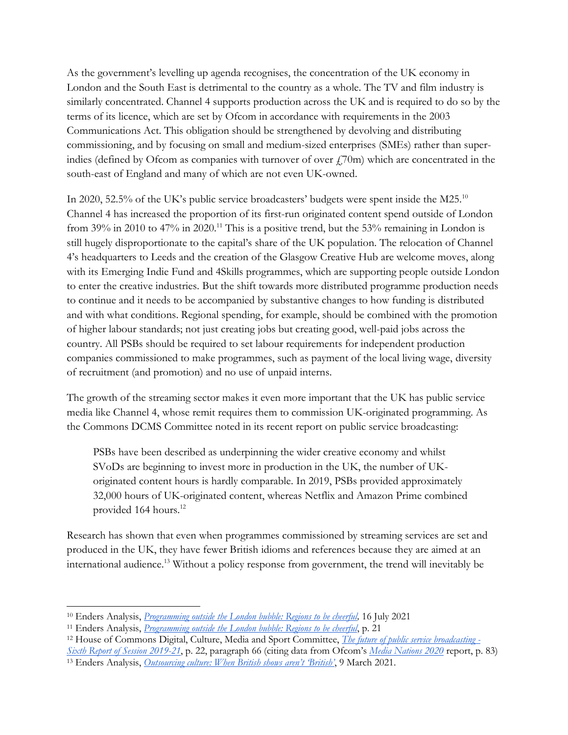As the government's levelling up agenda recognises, the concentration of the UK economy in London and the South East is detrimental to the country as a whole. The TV and film industry is similarly concentrated. Channel 4 supports production across the UK and is required to do so by the terms of its licence, which are set by Ofcom in accordance with requirements in the 2003 Communications Act. This obligation should be strengthened by devolving and distributing commissioning, and by focusing on small and medium-sized enterprises (SMEs) rather than superindies (defined by Ofcom as companies with turnover of over  $f(70m)$  which are concentrated in the south-east of England and many of which are not even UK-owned.

In 2020, 52.5% of the UK's public service broadcasters' budgets were spent inside the M25.<sup>10</sup> Channel 4 has increased the proportion of its first-run originated content spend outside of London from 39% in 2010 to 47% in 2020.<sup>11</sup> This is a positive trend, but the 53% remaining in London is still hugely disproportionate to the capital's share of the UK population. The relocation of Channel 4's headquarters to Leeds and the creation of the Glasgow Creative Hub are welcome moves, along with its Emerging Indie Fund and 4Skills programmes, which are supporting people outside London to enter the creative industries. But the shift towards more distributed programme production needs to continue and it needs to be accompanied by substantive changes to how funding is distributed and with what conditions. Regional spending, for example, should be combined with the promotion of higher labour standards; not just creating jobs but creating good, well-paid jobs across the country. All PSBs should be required to set labour requirements for independent production companies commissioned to make programmes, such as payment of the local living wage, diversity of recruitment (and promotion) and no use of unpaid interns.

The growth of the streaming sector makes it even more important that the UK has public service media like Channel 4, whose remit requires them to commission UK-originated programming. As the Commons DCMS Committee noted in its recent report on public service broadcasting:

PSBs have been described as underpinning the wider creative economy and whilst SVoDs are beginning to invest more in production in the UK, the number of UKoriginated content hours is hardly comparable. In 2019, PSBs provided approximately 32,000 hours of UK-originated content, whereas Netflix and Amazon Prime combined provided 164 hours.<sup>12</sup>

Research has shown that even when programmes commissioned by streaming services are set and produced in the UK, they have fewer British idioms and references because they are aimed at an international audience.<sup>13</sup> Without a policy response from government, the trend will inevitably be

<sup>10</sup> Enders Analysis, *Programming outside [the London bubble: Regions to be cheerful,](https://mcusercontent.com/e582e02c78012221c8698a563/files/2dd01035-53a5-ab8d-67dd-ec8e296e3763/Programming_outside_the_London_bubble_Regions_to_be_cheerful_2021_071_.pdf)* 16 July 2021

<sup>11</sup> Enders Analysis, *[Programming outside the London bubble: Regions to be cheerful](https://mcusercontent.com/e582e02c78012221c8698a563/files/2dd01035-53a5-ab8d-67dd-ec8e296e3763/Programming_outside_the_London_bubble_Regions_to_be_cheerful_2021_071_.pdf)*, p. 21

<sup>12</sup> House of Commons Digital, Culture, Media and Sport Committee, *[The future of public service broadcasting -](https://committees.parliament.uk/publications/5243/documents/52552/default/) [Sixth Report of Session 2019-21](https://committees.parliament.uk/publications/5243/documents/52552/default/)*, p. 22, paragraph 66 (citing data from Ofcom's *[Media Nations 2020](https://www.ofcom.org.uk/research-and-data/tv-radio-and-on-demand/media-nations-reports/media-nations-2020)* report, p. 83) <sup>13</sup> Enders Analysis, *[Outsourcing culture: When British shows aren't 'British'](https://www.endersanalysis.com/reports/outsourcing-culture-when-british-shows-arent-british)*, 9 March 2021.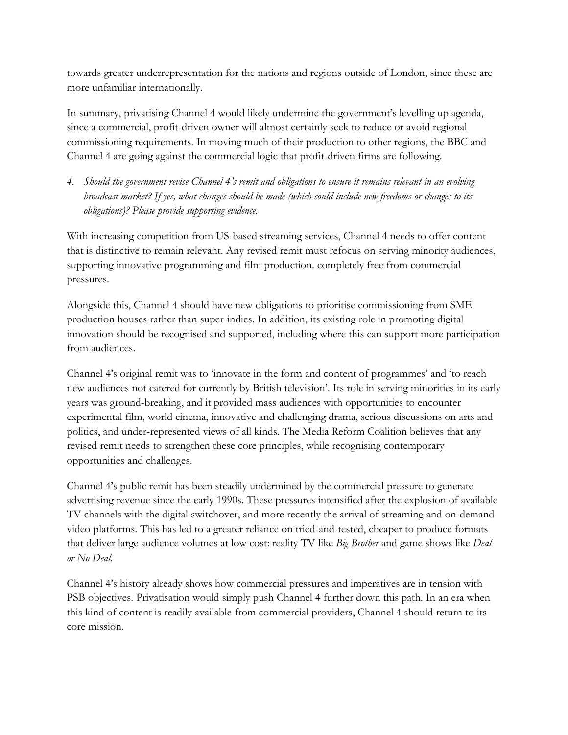towards greater underrepresentation for the nations and regions outside of London, since these are more unfamiliar internationally.

In summary, privatising Channel 4 would likely undermine the government's levelling up agenda, since a commercial, profit-driven owner will almost certainly seek to reduce or avoid regional commissioning requirements. In moving much of their production to other regions, the BBC and Channel 4 are going against the commercial logic that profit-driven firms are following.

*4. Should the government revise Channel 4's remit and obligations to ensure it remains relevant in an evolving broadcast market? If yes, what changes should be made (which could include new freedoms or changes to its obligations)? Please provide supporting evidence.*

With increasing competition from US-based streaming services, Channel 4 needs to offer content that is distinctive to remain relevant. Any revised remit must refocus on serving minority audiences, supporting innovative programming and film production. completely free from commercial pressures.

Alongside this, Channel 4 should have new obligations to prioritise commissioning from SME production houses rather than super-indies. In addition, its existing role in promoting digital innovation should be recognised and supported, including where this can support more participation from audiences.

Channel 4's original remit was to 'innovate in the form and content of programmes' and 'to reach new audiences not catered for currently by British television'. Its role in serving minorities in its early years was ground-breaking, and it provided mass audiences with opportunities to encounter experimental film, world cinema, innovative and challenging drama, serious discussions on arts and politics, and under-represented views of all kinds. The Media Reform Coalition believes that any revised remit needs to strengthen these core principles, while recognising contemporary opportunities and challenges.

Channel 4's public remit has been steadily undermined by the commercial pressure to generate advertising revenue since the early 1990s. These pressures intensified after the explosion of available TV channels with the digital switchover, and more recently the arrival of streaming and on-demand video platforms. This has led to a greater reliance on tried-and-tested, cheaper to produce formats that deliver large audience volumes at low cost: reality TV like *Big Brother* and game shows like *Deal or No Deal*.

Channel 4's history already shows how commercial pressures and imperatives are in tension with PSB objectives. Privatisation would simply push Channel 4 further down this path. In an era when this kind of content is readily available from commercial providers, Channel 4 should return to its core mission.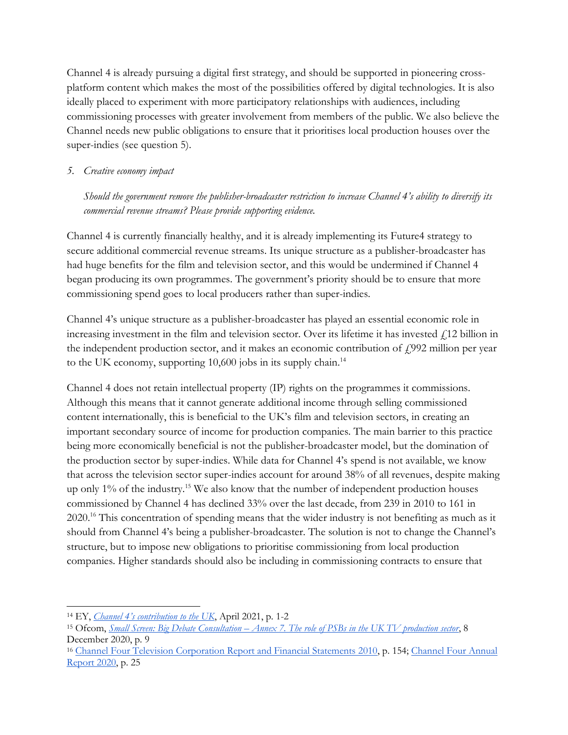Channel 4 is already pursuing a digital first strategy, and should be supported in pioneering crossplatform content which makes the most of the possibilities offered by digital technologies. It is also ideally placed to experiment with more participatory relationships with audiences, including commissioning processes with greater involvement from members of the public. We also believe the Channel needs new public obligations to ensure that it prioritises local production houses over the super-indies (see question 5).

### *5. Creative economy impact*

*Should the government remove the publisher-broadcaster restriction to increase Channel 4's ability to diversify its commercial revenue streams? Please provide supporting evidence.*

Channel 4 is currently financially healthy, and it is already implementing its Future4 strategy to secure additional commercial revenue streams. Its unique structure as a publisher-broadcaster has had huge benefits for the film and television sector, and this would be undermined if Channel 4 began producing its own programmes. The government's priority should be to ensure that more commissioning spend goes to local producers rather than super-indies.

Channel 4's unique structure as a publisher-broadcaster has played an essential economic role in increasing investment in the film and television sector. Over its lifetime it has invested  $f$ 12 billion in the independent production sector, and it makes an economic contribution of  $f_{\gamma}$  million per year to the UK economy, supporting  $10,600$  jobs in its supply chain.<sup>14</sup>

Channel 4 does not retain intellectual property (IP) rights on the programmes it commissions. Although this means that it cannot generate additional income through selling commissioned content internationally, this is beneficial to the UK's film and television sectors, in creating an important secondary source of income for production companies. The main barrier to this practice being more economically beneficial is not the publisher-broadcaster model, but the domination of the production sector by super-indies. While data for Channel 4's spend is not available, we know that across the television sector super-indies account for around 38% of all revenues, despite making up only 1% of the industry.<sup>15</sup> We also know that the number of independent production houses commissioned by Channel 4 has declined 33% over the last decade, from 239 in 2010 to 161 in 2020.<sup>16</sup> This concentration of spending means that the wider industry is not benefiting as much as it should from Channel 4's being a publisher-broadcaster. The solution is not to change the Channel's structure, but to impose new obligations to prioritise commissioning from local production companies. Higher standards should also be including in commissioning contracts to ensure that

<sup>14</sup> EY, *[Channel 4's contribution to the UK](https://assets-corporate.channel4.com/_flysystem/s3/2021-04/EY%20Report%20for%20Channel%204%20-%20Channel%204%27s%20contribution%20to%20the%20UK.pdf)*, April 2021, p. 1-2

<sup>15</sup> Ofcom, *Small Screen: Big Debate Consultation – [Annex 7. The role of PSBs in the UK TV production sector](https://www.smallscreenbigdebate.co.uk/__data/assets/pdf_file/0030/208767/annex-7-psb-role-in-production-sector.pdf)*, 8 December 2020, p. 9

<sup>16</sup> [Channel Four Television Corporation Report and Financial Statements 2010,](https://assets-corporate.channel4.com/_flysystem/s3/2017-06/annual_report_2010.pdf) p. 154; [Channel Four Annual](https://annualreport.channel4.com/assets/pdf/Overview_Channel4_AR20_ACC.pdf)  [Report 2020,](https://annualreport.channel4.com/assets/pdf/Overview_Channel4_AR20_ACC.pdf) p. 25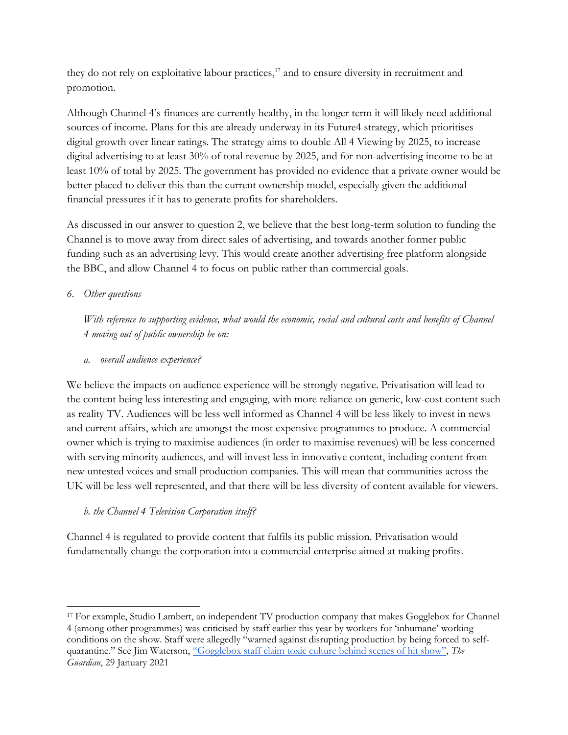they do not rely on exploitative labour practices, $^{17}$  and to ensure diversity in recruitment and promotion.

Although Channel 4's finances are currently healthy, in the longer term it will likely need additional sources of income. Plans for this are already underway in its Future4 strategy, which prioritises digital growth over linear ratings. The strategy aims to double All 4 Viewing by 2025, to increase digital advertising to at least 30% of total revenue by 2025, and for non-advertising income to be at least 10% of total by 2025. The government has provided no evidence that a private owner would be better placed to deliver this than the current ownership model, especially given the additional financial pressures if it has to generate profits for shareholders.

As discussed in our answer to question 2, we believe that the best long-term solution to funding the Channel is to move away from direct sales of advertising, and towards another former public funding such as an advertising levy. This would create another advertising free platform alongside the BBC, and allow Channel 4 to focus on public rather than commercial goals.

# *6. Other questions*

*With reference to supporting evidence, what would the economic, social and cultural costs and benefits of Channel 4 moving out of public ownership be on:*

*a. overall audience experience?*

We believe the impacts on audience experience will be strongly negative. Privatisation will lead to the content being less interesting and engaging, with more reliance on generic, low-cost content such as reality TV. Audiences will be less well informed as Channel 4 will be less likely to invest in news and current affairs, which are amongst the most expensive programmes to produce. A commercial owner which is trying to maximise audiences (in order to maximise revenues) will be less concerned with serving minority audiences, and will invest less in innovative content, including content from new untested voices and small production companies. This will mean that communities across the UK will be less well represented, and that there will be less diversity of content available for viewers.

## *b. the Channel 4 Television Corporation itself?*

Channel 4 is regulated to provide content that fulfils its public mission. Privatisation would fundamentally change the corporation into a commercial enterprise aimed at making profits.

<sup>17</sup> For example, Studio Lambert, an independent TV production company that makes Gogglebox for Channel 4 (among other programmes) was criticised by staff earlier this year by workers for 'inhumane' working conditions on the show. Staff were allegedly "warned against disrupting production by being forced to selfquarantine." See Jim Waterson, ["Gogglebox staff claim toxic culture behind scenes of hit show"](https://www.theguardian.com/tv-and-radio/2021/jan/29/gogglebox-staff-claim-toxic-culture-behind-scenes-of-hit-show), *The Guardian*, 29 January 2021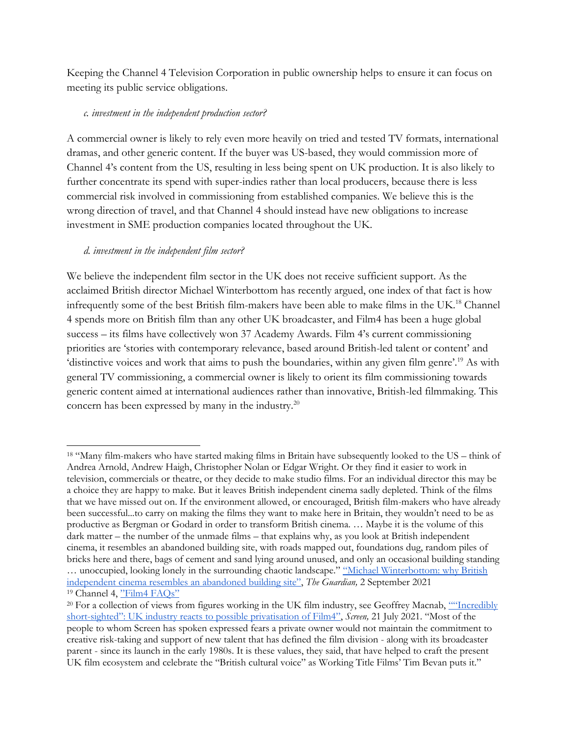Keeping the Channel 4 Television Corporation in public ownership helps to ensure it can focus on meeting its public service obligations.

#### *c. investment in the independent production sector?*

A commercial owner is likely to rely even more heavily on tried and tested TV formats, international dramas, and other generic content. If the buyer was US-based, they would commission more of Channel 4's content from the US, resulting in less being spent on UK production. It is also likely to further concentrate its spend with super-indies rather than local producers, because there is less commercial risk involved in commissioning from established companies. We believe this is the wrong direction of travel, and that Channel 4 should instead have new obligations to increase investment in SME production companies located throughout the UK.

# *d. investment in the independent film sector?*

We believe the independent film sector in the UK does not receive sufficient support. As the acclaimed British director Michael Winterbottom has recently argued, one index of that fact is how infrequently some of the best British film-makers have been able to make films in the UK.<sup>18</sup> Channel 4 spends more on British film than any other UK broadcaster, and Film4 has been a huge global success – its films have collectively won 37 Academy Awards. Film 4's current commissioning priorities are 'stories with contemporary relevance, based around British-led talent or content' and 'distinctive voices and work that aims to push the boundaries, within any given film genre'.<sup>19</sup> As with general TV commissioning, a commercial owner is likely to orient its film commissioning towards generic content aimed at international audiences rather than innovative, British-led filmmaking. This concern has been expressed by many in the industry.<sup>20</sup>

<sup>18</sup> "Many film-makers who have started making films in Britain have subsequently looked to the US – think of Andrea Arnold, Andrew Haigh, Christopher Nolan or Edgar Wright. Or they find it easier to work in television, commercials or theatre, or they decide to make studio films. For an individual director this may be a choice they are happy to make. But it leaves British independent cinema sadly depleted. Think of the films that we have missed out on. If the environment allowed, or encouraged, British film-makers who have already been successful...to carry on making the films they want to make here in Britain, they wouldn't need to be as productive as Bergman or Godard in order to transform British cinema. … Maybe it is the volume of this dark matter – the number of the unmade films – that explains why, as you look at British independent cinema, it resembles an abandoned building site, with roads mapped out, foundations dug, random piles of bricks here and there, bags of cement and sand lying around unused, and only an occasional building standing … unoccupied, looking lonely in the surrounding chaotic landscape." ["Michael Winterbottom: why British](https://www.theguardian.com/film/2021/sep/02/michael-winterbottom-why-british-independent-cinema-resembles-an-abandoned-building-site)  [independent cinema resembles an abandoned building site"](https://www.theguardian.com/film/2021/sep/02/michael-winterbottom-why-british-independent-cinema-resembles-an-abandoned-building-site), *The Guardian,* 2 September 2021 <sup>19</sup> Channel 4, ["Film4 FAQs"](https://www.channel4.com/commissioning/4producers/film4/film4-faqs)

<sup>&</sup>lt;sup>20</sup> For a collection of views from figures working in the UK film industry, see Geoffrey Macnab, "Tncredibly short-[sighted": UK industry reacts to possible privatisation of Film4"](https://www.screendaily.com/features/incredibly-short-sighted-uk-industry-reacts-to-possible-privatisation-of-film4/5161772.article), *Screen,* 21 July 2021. "Most of the people to whom Screen has spoken expressed fears a private owner would not maintain the commitment to creative risk-taking and support of new talent that has defined the film division - along with its broadcaster parent - since its launch in the early 1980s. It is these values, they said, that have helped to craft the present UK film ecosystem and celebrate the "British cultural voice" as Working Title Films' Tim Bevan puts it."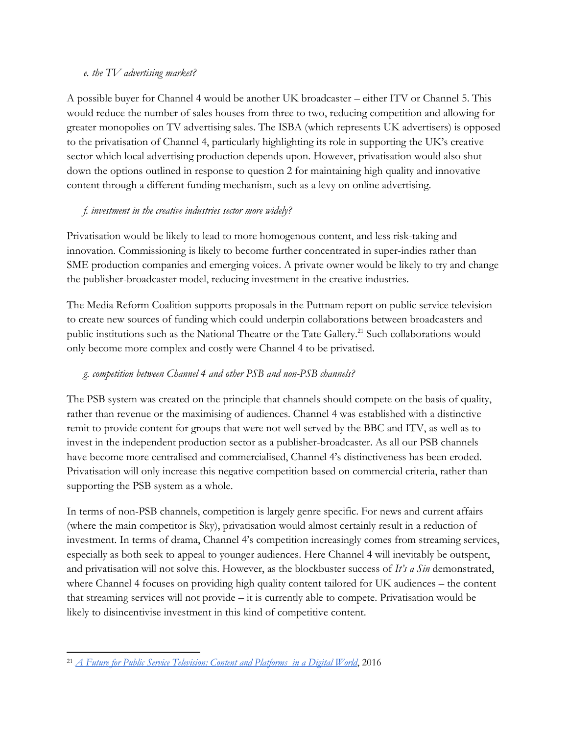#### *e. the TV advertising market?*

A possible buyer for Channel 4 would be another UK broadcaster – either ITV or Channel 5. This would reduce the number of sales houses from three to two, reducing competition and allowing for greater monopolies on TV advertising sales. The ISBA (which represents UK advertisers) is opposed to the privatisation of Channel 4, particularly highlighting its role in supporting the UK's creative sector which local advertising production depends upon. However, privatisation would also shut down the options outlined in response to question 2 for maintaining high quality and innovative content through a different funding mechanism, such as a levy on online advertising.

## *f. investment in the creative industries sector more widely?*

Privatisation would be likely to lead to more homogenous content, and less risk-taking and innovation. Commissioning is likely to become further concentrated in super-indies rather than SME production companies and emerging voices. A private owner would be likely to try and change the publisher-broadcaster model, reducing investment in the creative industries.

The Media Reform Coalition supports proposals in the Puttnam report on public service television to create new sources of funding which could underpin collaborations between broadcasters and public institutions such as the National Theatre or the Tate Gallery.<sup>21</sup> Such collaborations would only become more complex and costly were Channel 4 to be privatised.

# *g. competition between Channel 4 and other PSB and non-PSB channels?*

The PSB system was created on the principle that channels should compete on the basis of quality, rather than revenue or the maximising of audiences. Channel 4 was established with a distinctive remit to provide content for groups that were not well served by the BBC and ITV, as well as to invest in the independent production sector as a publisher-broadcaster. As all our PSB channels have become more centralised and commercialised, Channel 4's distinctiveness has been eroded. Privatisation will only increase this negative competition based on commercial criteria, rather than supporting the PSB system as a whole.

In terms of non-PSB channels, competition is largely genre specific. For news and current affairs (where the main competitor is Sky), privatisation would almost certainly result in a reduction of investment. In terms of drama, Channel 4's competition increasingly comes from streaming services, especially as both seek to appeal to younger audiences. Here Channel 4 will inevitably be outspent, and privatisation will not solve this. However, as the blockbuster success of *It's a Sin* demonstrated, where Channel 4 focuses on providing high quality content tailored for UK audiences – the content that streaming services will not provide – it is currently able to compete. Privatisation would be likely to disincentivise investment in this kind of competitive content.

<sup>21</sup> *[A Future for Public Service Television: Content and Platforms in a Digital World](https://research.gold.ac.uk/id/eprint/18869/1/FOTV-Report-Online-SP.pdf)*, 2016